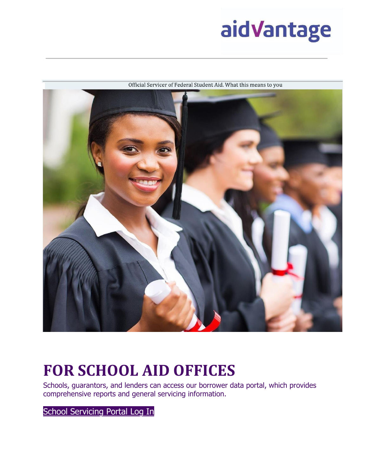



Official Servicer of Federal Student Aid. What this means to you

# **FOR SCHOOL AID OFFICES**

Schools, guarantors, and lenders can access our borrower data portal, which provides comprehensive reports and general servicing information.

[School](https://ssp.aidvantage.com/) [Servicing](https://ssp.aidvantage.com/) [Portal](https://ssp.aidvantage.com/) [Log](https://ssp.aidvantage.com/) [In](https://ssp.aidvantage.com/)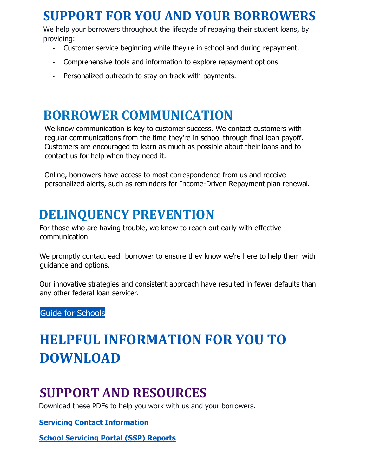### **SUPPORT FOR YOU AND YOUR BORROWERS**

We help your borrowers throughout the lifecycle of repaying their student loans, by providing:

- Customer service beginning while they're in school and during repayment.
- Comprehensive tools and information to explore repayment options.
- Personalized outreach to stay on track with payments.

#### **BORROWER COMMUNICATION**

We know communication is key to customer success. We contact customers with regular communications from the time they're in school through final loan payoff. Customers are encouraged to learn as much as possible about their loans and to contact us for help when they need it.

Online, borrowers have access to most correspondence from us and receive personalized alerts, such as reminders for Income-Driven Repayment plan renewal.

### **DELINQUENCY PREVENTION**

For those who are having trouble, we know to reach out early with effective communication.

We promptly contact each borrower to ensure they know we're here to help them with guidance and options.

Our innovative strategies and consistent approach have resulted in fewer defaults than any other federal loan servicer.

[Guide](https://www.aidvantage.com/Images/counseling-your-borrowers-to-avoid-default_tcm5-2689.pdf) [for](https://www.aidvantage.com/Images/counseling-your-borrowers-to-avoid-default_tcm5-2689.pdf) [Schools](https://www.aidvantage.com/Images/counseling-your-borrowers-to-avoid-default_tcm5-2689.pdf)

## **HELPFUL INFORMATION FOR YOU TO DOWNLOAD**

### **SUPPORT AND RESOURCES**

Download these PDFs to help you work with us and your borrowers.

**[Servicing Contact Information](https://www.aidvantage.com/Images/Servicing_Contact_Info_tcm5-2695.pdf)**

**[School Servicing Portal \(SSP\) Reports](https://www.aidvantage.com/Images/School-Servicing-Portal-SSP-Reports-Overview_tcm5-2696.pdf)**